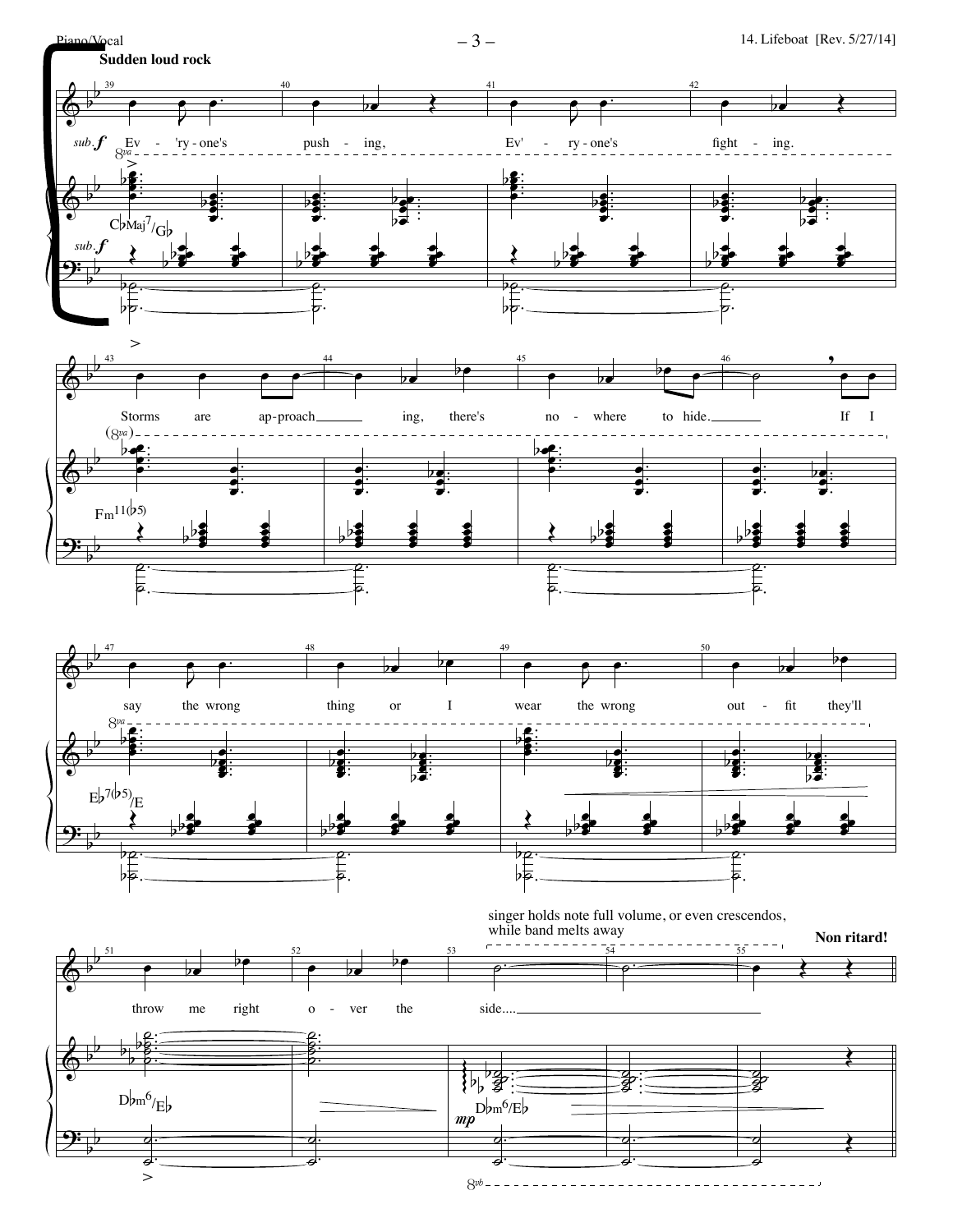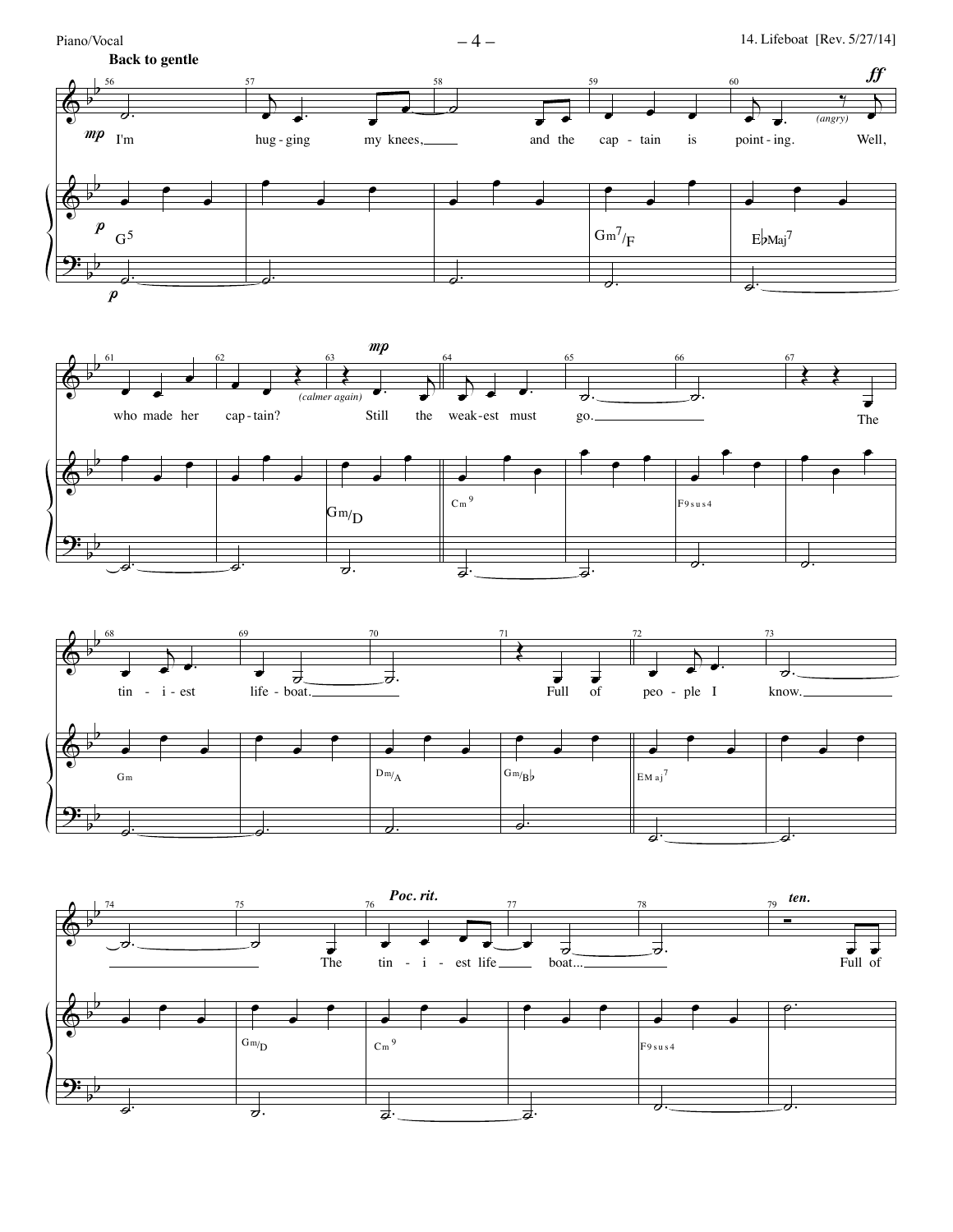